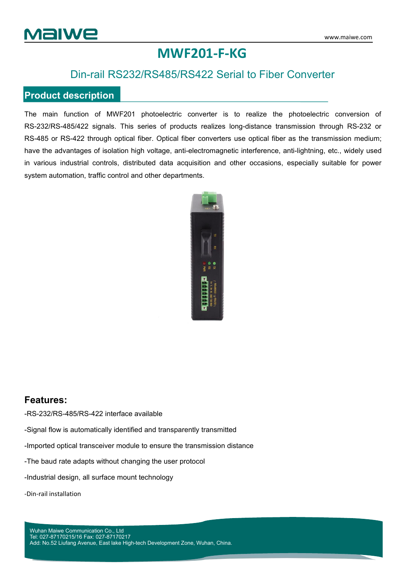## **MWF201-F-KG**

### Din-rail RS232/RS485/RS422 Serial to Fiber Converter

#### **Product description**

The main function of MWF201 photoelectric converter is to realize the photoelectric conversion of RS-232/RS-485/422 signals. This series of products realizes long-distance transmission through RS-232 or RS-485 or RS-422 through optical fiber. Optical fiber converters use optical fiber as the transmission medium; have the advantages of isolation high voltage, anti-electromagnetic interference, anti-lightning, etc., widely used in various industrial controls, distributed data acquisition and other occasions, especially suitable for power system automation, traffic control and other departments.



#### **Features:**

-RS-232/RS-485/RS-422 interface available

-Signal flow is automatically identified and transparently transmitted

-Imported optical transceiver module to ensure the transmission distance

-The baud rate adapts without changing the user protocol

-Industrial design, all surface mount technology

-Din-rail installation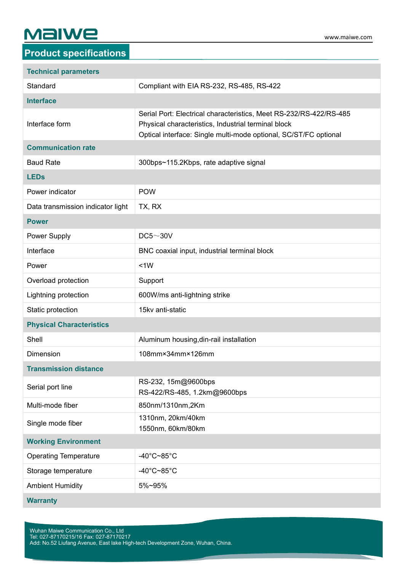# **Malwe**

| <b>Technical parameters</b>       |                                                                                                                                                                                               |  |
|-----------------------------------|-----------------------------------------------------------------------------------------------------------------------------------------------------------------------------------------------|--|
| Standard                          | Compliant with EIA RS-232, RS-485, RS-422                                                                                                                                                     |  |
| <b>Interface</b>                  |                                                                                                                                                                                               |  |
| Interface form                    | Serial Port: Electrical characteristics, Meet RS-232/RS-422/RS-485<br>Physical characteristics, Industrial terminal block<br>Optical interface: Single multi-mode optional, SC/ST/FC optional |  |
| <b>Communication rate</b>         |                                                                                                                                                                                               |  |
| <b>Baud Rate</b>                  | 300bps~115.2Kbps, rate adaptive signal                                                                                                                                                        |  |
| <b>LEDs</b>                       |                                                                                                                                                                                               |  |
| Power indicator                   | <b>POW</b>                                                                                                                                                                                    |  |
| Data transmission indicator light | TX, RX                                                                                                                                                                                        |  |
| <b>Power</b>                      |                                                                                                                                                                                               |  |
| Power Supply                      | DC5~30V                                                                                                                                                                                       |  |
| Interface                         | BNC coaxial input, industrial terminal block                                                                                                                                                  |  |
| Power                             | <1W                                                                                                                                                                                           |  |
| Overload protection               | Support                                                                                                                                                                                       |  |
| Lightning protection              | 600W/ms anti-lightning strike                                                                                                                                                                 |  |
| Static protection                 | 15kv anti-static                                                                                                                                                                              |  |
| <b>Physical Characteristics</b>   |                                                                                                                                                                                               |  |
| Shell                             | Aluminum housing, din-rail installation                                                                                                                                                       |  |
| <b>Dimension</b>                  | 108mm×34mm×126mm                                                                                                                                                                              |  |
| <b>Transmission distance</b>      |                                                                                                                                                                                               |  |
| Serial port line                  | RS-232, 15m@9600bps<br>RS-422/RS-485, 1.2km@9600bps                                                                                                                                           |  |
| Multi-mode fiber                  | 850nm/1310nm,2Km                                                                                                                                                                              |  |
| Single mode fiber                 | 1310nm, 20km/40km<br>1550nm, 60km/80km                                                                                                                                                        |  |
| <b>Working Environment</b>        |                                                                                                                                                                                               |  |
| <b>Operating Temperature</b>      | -40 $^{\circ}$ C~85 $^{\circ}$ C                                                                                                                                                              |  |
| Storage temperature               | -40 $^{\circ}$ C~85 $^{\circ}$ C                                                                                                                                                              |  |
| <b>Ambient Humidity</b>           | 5%~95%                                                                                                                                                                                        |  |
|                                   |                                                                                                                                                                                               |  |

**Warranty**